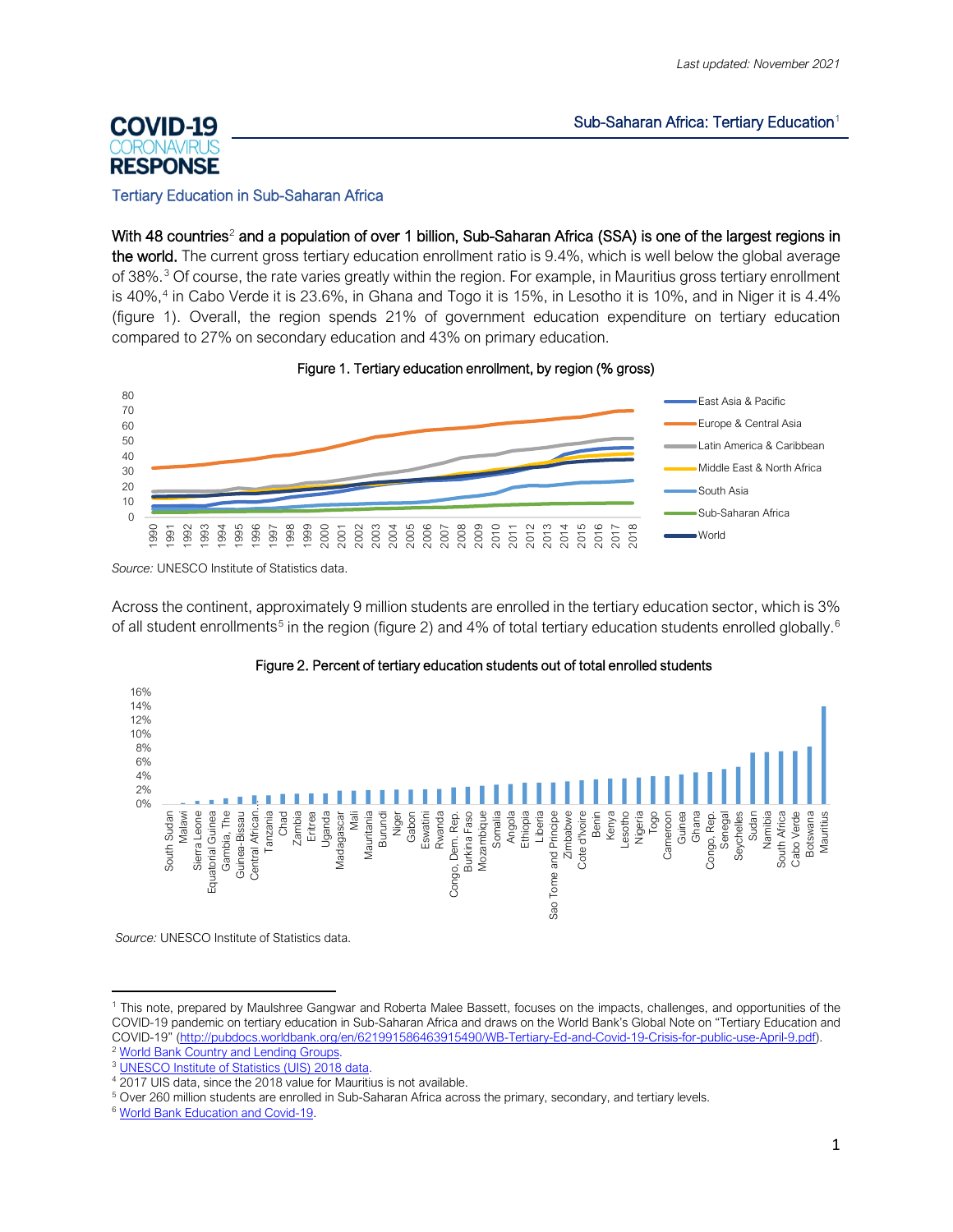#### Sub-Saharan Africa: Tertiary Education $1$

# **COVID-19 RESPONSE**

#### Tertiary Education in Sub-Saharan Africa

With 48 countries<sup>[2](#page-0-1)</sup> and a population of over 1 billion, Sub-Saharan Africa (SSA) is one of the largest regions in the world. The current gross tertiary education enrollment ratio is 9.4%, which is well below the global average of [3](#page-0-2)8%.<sup>3</sup> Of course, the rate varies greatly within the region. For example, in Mauritius gross tertiary enrollment is 40%, [4](#page-0-3) in Cabo Verde it is 23.6%, in Ghana and Togo it is 15%, in Lesotho it is 10%, and in Niger it is 4.4% (figure 1). Overall, the region spends 21% of government education expenditure on tertiary education compared to 27% on secondary education and 43% on primary education.





*Source:* UNESCO Institute of Statistics data.

Across the continent, approximately 9 million students are enrolled in the tertiary education sector, which is 3% of all student enrollments<sup>[5](#page-0-4)</sup> in the region (figure 2) and 4% of total tertiary education students enrolled globally.<sup>[6](#page-0-5)</sup>



## Figure 2. Percent of tertiary education students out of total enrolled students

*Source:* UNESCO Institute of Statistics data.

<span id="page-0-0"></span><sup>1</sup> This note, prepared by Maulshree Gangwar and Roberta Malee Bassett, focuses on the impacts, challenges, and opportunities of the COVID-19 pandemic on tertiary education in Sub-Saharan Africa and draws on the World Bank's Global Note on "Tertiary Education and COVID-19" [\(http://pubdocs.worldbank.org/en/621991586463915490/WB-Tertiary-Ed-and-Covid-19-Crisis-for-public-use-April-9.pdf\)](http://pubdocs.worldbank.org/en/621991586463915490/WB-Tertiary-Ed-and-Covid-19-Crisis-for-public-use-April-9.pdf).

<span id="page-0-2"></span><span id="page-0-1"></span><sup>&</sup>lt;sup>2</sup> [World Bank Country and Lending Groups.](https://datahelpdesk.worldbank.org/knowledgebase/articles/906519-world-bank-country-and-lending-groups)

<sup>3</sup> [UNESCO Institute of Statistics \(UIS\) 2018 data.](http://data.uis.unesco.org/?queryid=142)

<span id="page-0-3"></span><sup>&</sup>lt;sup>4</sup> 2017 UIS data, since the 2018 value for Mauritius is not available.

<span id="page-0-4"></span><sup>5</sup> Over 260 million students are enrolled in Sub-Saharan Africa across the primary, secondary, and tertiary levels.

<span id="page-0-5"></span><sup>6</sup> [World Bank Education and Covid-19.](https://www.worldbank.org/en/data/interactive/2020/03/24/world-bank-education-and-covid-19)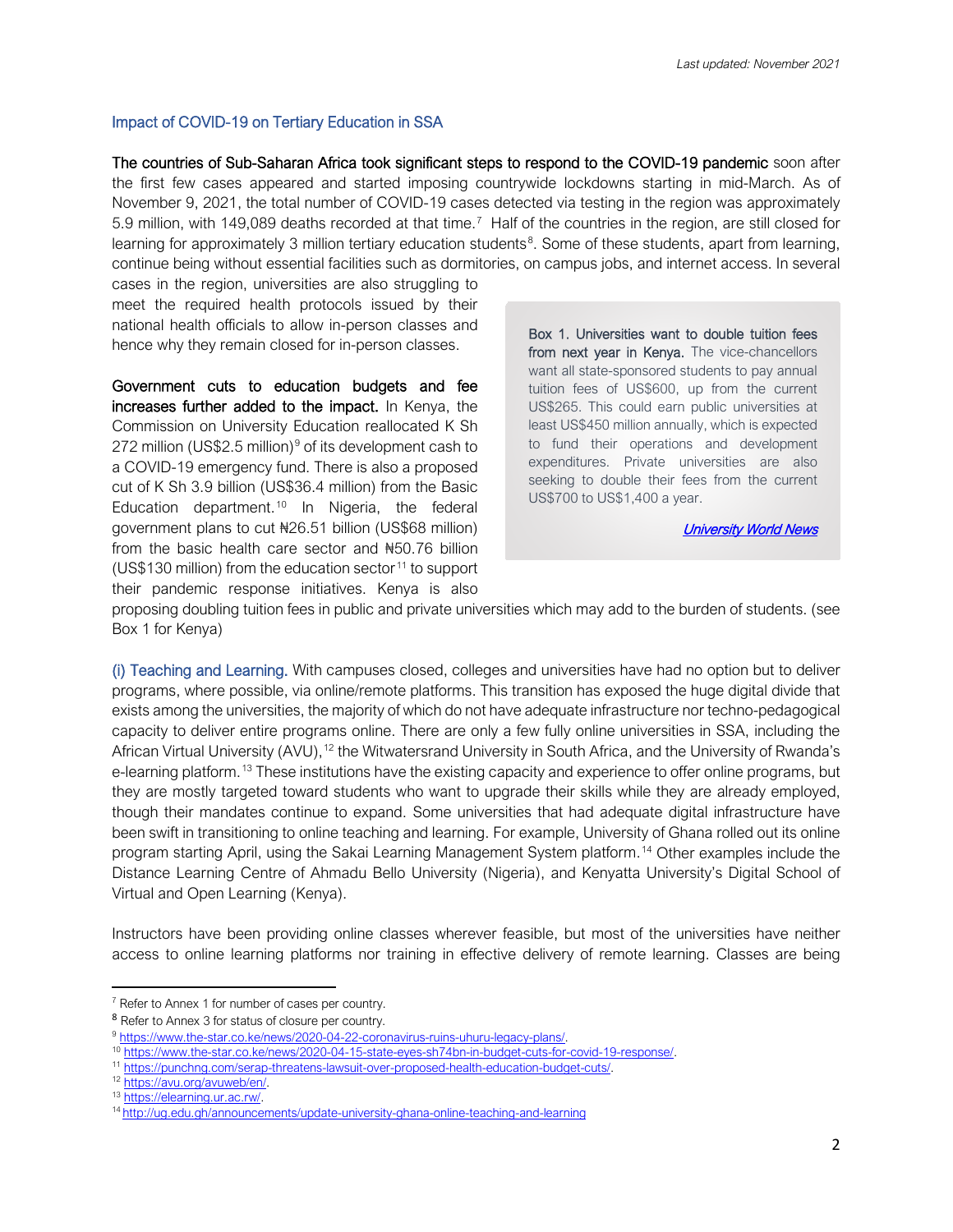## Impact of COVID-19 on Tertiary Education in SSA

The countries of Sub-Saharan Africa took significant steps to respond to the COVID-19 pandemic soon after the first few cases appeared and started imposing countrywide lockdowns starting in mid-March. As of November 9, 2021, the total number of COVID-19 cases detected via testing in the region was approximately 5.9 million, with 149,089 deaths recorded at that time. [7](#page-1-0) Half of the countries in the region, are still closed for learning for approximately 3 million tertiary education students<sup>[8](#page-1-1)</sup>. Some of these students, apart from learning, continue being without essential facilities such as dormitories, on campus jobs, and internet access. In several

cases in the region, universities are also struggling to meet the required health protocols issued by their national health officials to allow in-person classes and hence why they remain closed for in-person classes.

Government cuts to education budgets and fee increases further added to the impact. In Kenya, the Commission on University Education reallocated K Sh 272 million (US\$2.5 million)<sup>[9](#page-1-2)</sup> of its development cash to a COVID-19 emergency fund. There is also a proposed cut of K Sh 3.9 billion (US\$36.4 million) from the Basic Education department.<sup>[10](#page-1-3)</sup> In Nigeria, the federal government plans to cut ₦26.51 billion (US\$68 million) from the basic health care sector and ₦50.76 billion (US\$130 million) from the education sector<sup>[11](#page-1-4)</sup> to support their pandemic response initiatives. Kenya is also

Box 1. Universities want to double tuition fees from next year in Kenya. The vice-chancellors want all state-sponsored students to pay annual tuition fees of US\$600, up from the current US\$265. This could earn public universities at least US\$450 million annually, which is expected to fund their operations and development expenditures. Private universities are also seeking to double their fees from the current US\$700 to US\$1,400 a year.

[University World News](https://www.universityworldnews.com/post.php?story=2020112422123632) 

proposing doubling tuition fees in public and private universities which may add to the burden of students. (see Box 1 for Kenya)

(i) Teaching and Learning. With campuses closed, colleges and universities have had no option but to deliver programs, where possible, via online/remote platforms. This transition has exposed the huge digital divide that exists among the universities, the majority of which do not have adequate infrastructure nor techno-pedagogical capacity to deliver entire programs online. There are only a few fully online universities in SSA, including the African Virtual University (AVU), <sup>[12](#page-1-5)</sup> the Witwatersrand University in South Africa, and the University of Rwanda's e-learning platform.<sup>[13](#page-1-6)</sup> These institutions have the existing capacity and experience to offer online programs, but they are mostly targeted toward students who want to upgrade their skills while they are already employed, though their mandates continue to expand. Some universities that had adequate digital infrastructure have been swift in transitioning to online teaching and learning. For example, University of Ghana rolled out its online program starting April, using the Sakai Learning Management System platform. [14](#page-1-7) Other examples include the Distance Learning Centre of Ahmadu Bello University (Nigeria), and Kenyatta University's Digital School of Virtual and Open Learning (Kenya).

Instructors have been providing online classes wherever feasible, but most of the universities have neither access to online learning platforms nor training in effective delivery of remote learning. Classes are being

<span id="page-1-0"></span> $7$  Refer to Annex 1 for number of cases per country.

<span id="page-1-1"></span><sup>8</sup> Refer to Annex 3 for status of closure per country.

<span id="page-1-2"></span><sup>9</sup> [https://www.the-star.co.ke/news/2020-04-22-coronavirus-ruins-uhuru-legacy-plans/.](https://www.the-star.co.ke/news/2020-04-22-coronavirus-ruins-uhuru-legacy-plans/)

<span id="page-1-3"></span><sup>10</sup> [https://www.the-star.co.ke/news/2020-04-15-state-eyes-sh74bn-in-budget-cuts-for-covid-19-response/.](https://www.the-star.co.ke/news/2020-04-15-state-eyes-sh74bn-in-budget-cuts-for-covid-19-response/)

<span id="page-1-4"></span><sup>11</sup> [https://punchng.com/serap-threatens-lawsuit-over-proposed-health-education-budget-cuts/.](https://punchng.com/serap-threatens-lawsuit-over-proposed-health-education-budget-cuts/)

<span id="page-1-5"></span><sup>12</sup> [https://avu.org/avuweb/en/.](https://avu.org/avuweb/en/)

<span id="page-1-6"></span><sup>13</sup> [https://elearning.ur.ac.rw/.](https://elearning.ur.ac.rw/)

<span id="page-1-7"></span><sup>14</sup> http://ug.edu.gh/announcements/update-university-ghana-online-teaching-and-learning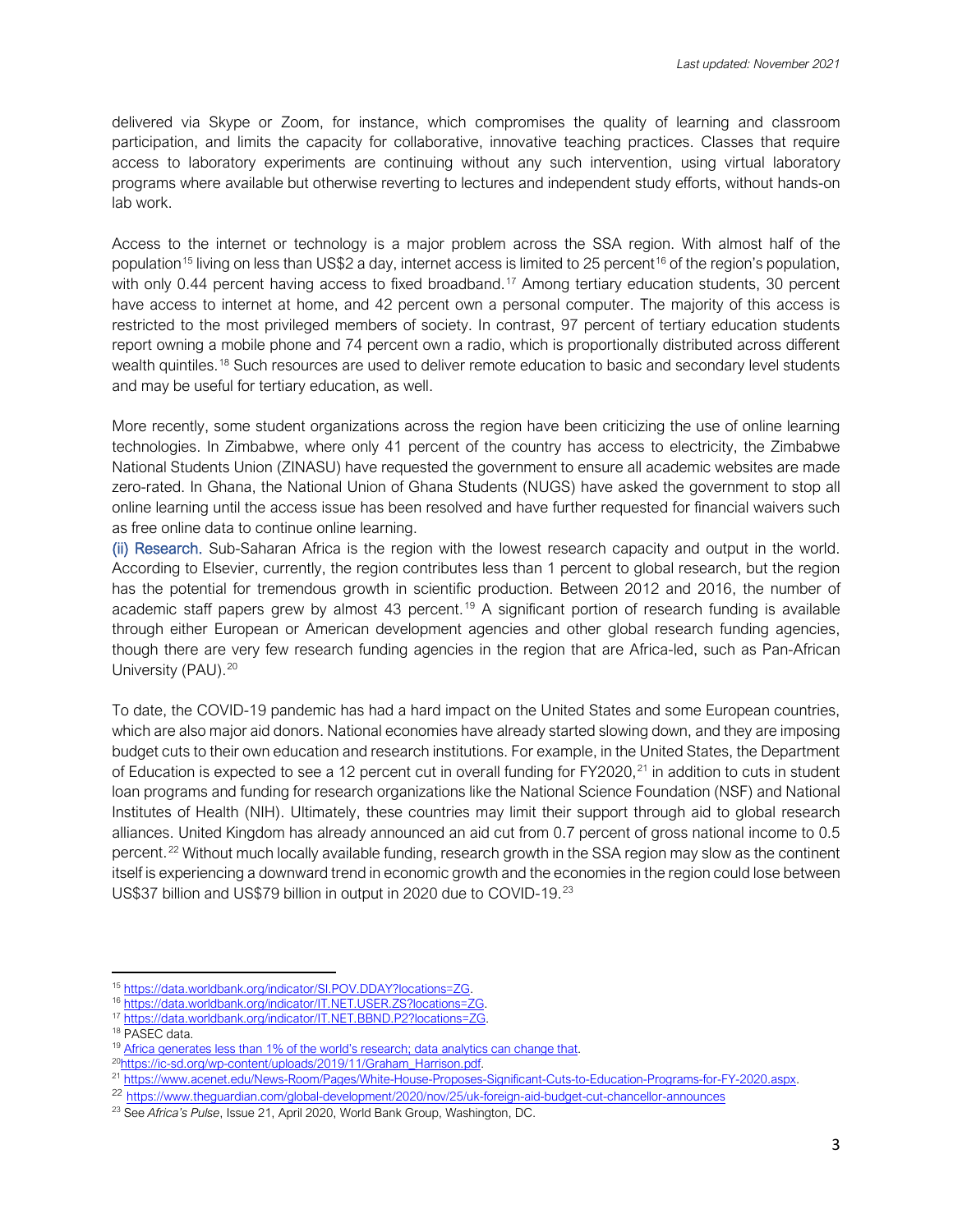delivered via Skype or Zoom, for instance, which compromises the quality of learning and classroom participation, and limits the capacity for collaborative, innovative teaching practices. Classes that require access to laboratory experiments are continuing without any such intervention, using virtual laboratory programs where available but otherwise reverting to lectures and independent study efforts, without hands-on lab work.

Access to the internet or technology is a major problem across the SSA region. With almost half of the population<sup>[15](#page-2-0)</sup> living on less than US\$2 a day, internet access is limited to 25 percent<sup>[16](#page-2-1)</sup> of the region's population, with only 0.44 percent having access to fixed broadband.<sup>[17](#page-2-2)</sup> Among tertiary education students, 30 percent have access to internet at home, and 42 percent own a personal computer. The majority of this access is restricted to the most privileged members of society. In contrast, 97 percent of tertiary education students report owning a mobile phone and 74 percent own a radio, which is proportionally distributed across different wealth quintiles.[18](#page-2-3) Such resources are used to deliver remote education to basic and secondary level students and may be useful for tertiary education, as well.

More recently, some student organizations across the region have been criticizing the use of online learning technologies. In Zimbabwe, where only 41 percent of the country has access to electricity, the Zimbabwe National Students Union (ZINASU) have requested the government to ensure all academic websites are made zero-rated. In Ghana, the National Union of Ghana Students (NUGS) have asked the government to stop all online learning until the access issue has been resolved and have further requested for financial waivers such as free online data to continue online learning.

(ii) Research. Sub-Saharan Africa is the region with the lowest research capacity and output in the world. According to Elsevier, currently, the region contributes less than 1 percent to global research, but the region has the potential for tremendous growth in scientific production. Between 2012 and 2016, the number of academic staff papers grew by almost 43 percent. [19](#page-2-4) A significant portion of research funding is available through either European or American development agencies and other global research funding agencies, though there are very few research funding agencies in the region that are Africa-led, such as Pan-African University (PAU). [20](#page-2-5)

To date, the COVID-19 pandemic has had a hard impact on the United States and some European countries, which are also major aid donors. National economies have already started slowing down, and they are imposing budget cuts to their own education and research institutions. For example, in the United States, the Department of Education is expected to see a 12 percent cut in overall funding for FY2020,<sup>[21](#page-2-6)</sup> in addition to cuts in student loan programs and funding for research organizations like the National Science Foundation (NSF) and National Institutes of Health (NIH). Ultimately, these countries may limit their support through aid to global research alliances. United Kingdom has already announced an aid cut from 0.7 percent of gross national income to 0.5 percent.<sup>[22](#page-2-7)</sup> Without much locally available funding, research growth in the SSA region may slow as the continent itself is experiencing a downward trend in economic growth and the economies in the region could lose between US\$37 billion and US\$79 billion in output in 2020 due to COVID-19.<sup>[23](#page-2-8)</sup>

<span id="page-2-0"></span><sup>15</sup> [https://data.worldbank.org/indicator/SI.POV.DDAY?locations=ZG.](https://data.worldbank.org/indicator/SI.POV.DDAY?locations=ZG)

<span id="page-2-1"></span><sup>16</sup> [https://data.worldbank.org/indicator/IT.NET.USER.ZS?locations=ZG.](https://data.worldbank.org/indicator/IT.NET.USER.ZS?locations=ZG)

<span id="page-2-2"></span><sup>17</sup> [https://data.worldbank.org/indicator/IT.NET.BBND.P2?locations=ZG.](https://data.worldbank.org/indicator/IT.NET.BBND.P2?locations=ZG)

<span id="page-2-3"></span><sup>18</sup> PASEC data.

<span id="page-2-5"></span><span id="page-2-4"></span><sup>&</sup>lt;sup>19</sup> [Africa generates less than 1% of the world's research; data analytics can change that.](https://www.elsevier.com/connect/africa-generates-less-than-1-of-the-worlds-research-data-analytics-can-change-that)  $^{20}$ https://ic-sd.org/wp-content/uploads/2019/11/Graham\_Harrison.pdf.

<span id="page-2-6"></span><sup>&</sup>lt;sup>21</sup> [https://www.acenet.edu/News-Room/Pages/White-House-Proposes-Significant-Cuts-to-Education-Programs-for-FY-2020.aspx.](https://www.acenet.edu/News-Room/Pages/White-House-Proposes-Significant-Cuts-to-Education-Programs-for-FY-2020.aspx)

<span id="page-2-7"></span><sup>22</sup> <https://www.theguardian.com/global-development/2020/nov/25/uk-foreign-aid-budget-cut-chancellor-announces>

<span id="page-2-8"></span><sup>23</sup> See *Africa's Pulse*, Issue 21, April 2020, World Bank Group, Washington, DC.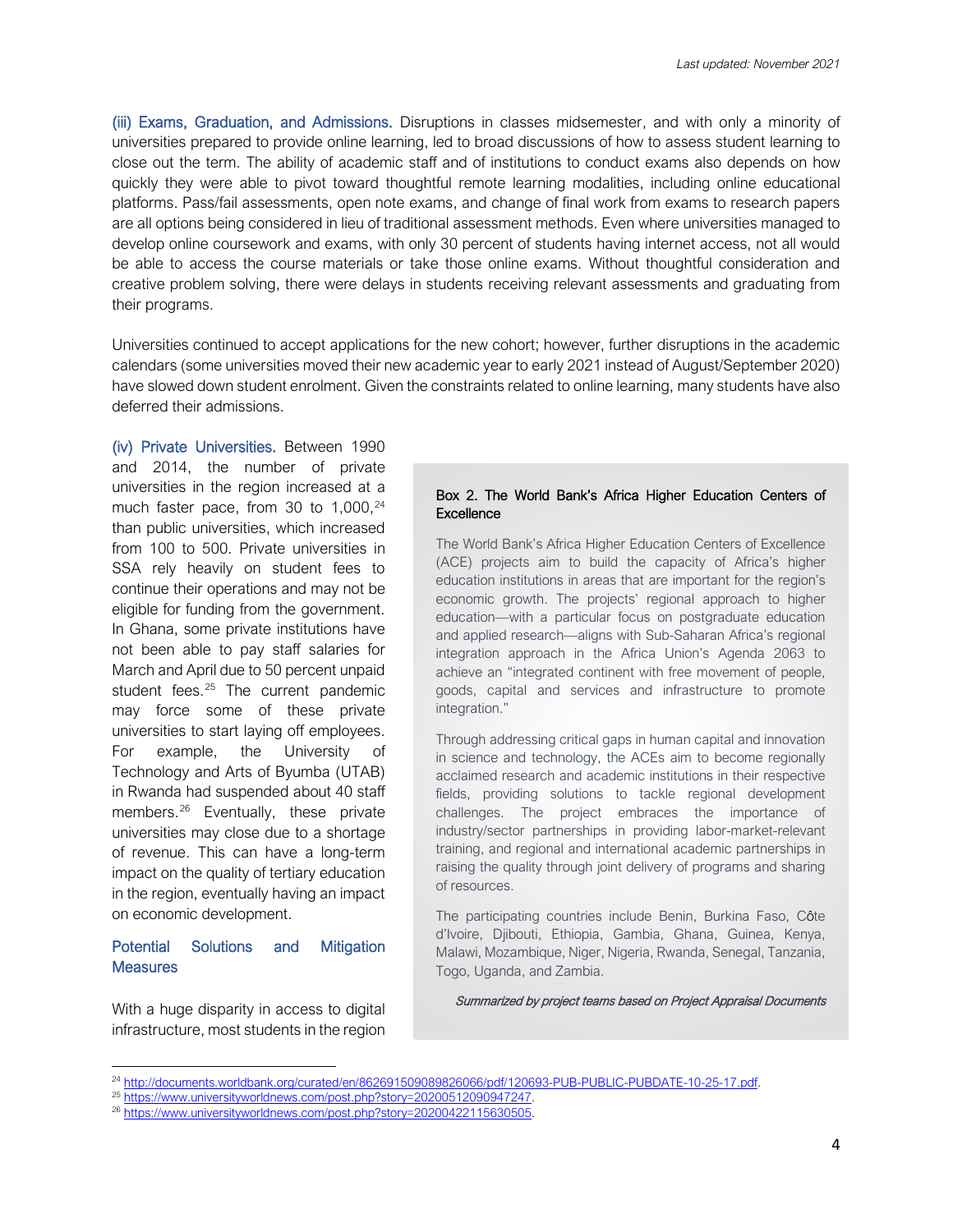(iii) Exams, Graduation, and Admissions. Disruptions in classes midsemester, and with only a minority of universities prepared to provide online learning, led to broad discussions of how to assess student learning to close out the term. The ability of academic staff and of institutions to conduct exams also depends on how quickly they were able to pivot toward thoughtful remote learning modalities, including online educational platforms. Pass/fail assessments, open note exams, and change of final work from exams to research papers are all options being considered in lieu of traditional assessment methods. Even where universities managed to develop online coursework and exams, with only 30 percent of students having internet access, not all would be able to access the course materials or take those online exams. Without thoughtful consideration and creative problem solving, there were delays in students receiving relevant assessments and graduating from their programs.

Universities continued to accept applications for the new cohort; however, further disruptions in the academic calendars (some universities moved their new academic year to early 2021 instead of August/September 2020) have slowed down student enrolment. Given the constraints related to online learning, many students have also deferred their admissions.

(iv) Private Universities. Between 1990 and 2014, the number of private universities in the region increased at a much faster pace, from 30 to 1,000, [24](#page-3-0) than public universities, which increased from 100 to 500. Private universities in SSA rely heavily on student fees to continue their operations and may not be eligible for funding from the government. In Ghana, some private institutions have not been able to pay staff salaries for March and April due to 50 percent unpaid student fees.<sup>[25](#page-3-1)</sup> The current pandemic may force some of these private universities to start laying off employees. For example, the University of Technology and Arts of Byumba (UTAB) in Rwanda had suspended about 40 staff members.<sup>[26](#page-3-2)</sup> Eventually, these private universities may close due to a shortage of revenue. This can have a long-term impact on the quality of tertiary education in the region, eventually having an impact on economic development.

## Potential Solutions and Mitigation **Measures**

With a huge disparity in access to digital infrastructure, most students in the region

#### Box 2. The World Bank's Africa Higher Education Centers of **Excellence**

The World Bank's Africa Higher Education Centers of Excellence (ACE) projects aim to build the capacity of Africa's higher education institutions in areas that are important for the region's economic growth. The projects' regional approach to higher education—with a particular focus on postgraduate education and applied research—aligns with Sub-Saharan Africa's regional integration approach in the Africa Union's Agenda 2063 to achieve an "integrated continent with free movement of people, goods, capital and services and infrastructure to promote integration."

Through addressing critical gaps in human capital and innovation in science and technology, the ACEs aim to become regionally acclaimed research and academic institutions in their respective fields, providing solutions to tackle regional development challenges. The project embraces the importance of industry/sector partnerships in providing labor-market-relevant training, and regional and international academic partnerships in raising the quality through joint delivery of programs and sharing of resources.

The participating countries include Benin, Burkina Faso, Côte d'Ivoire, Djibouti, Ethiopia, Gambia, Ghana, Guinea, Kenya, Malawi, Mozambique, Niger, Nigeria, Rwanda, Senegal, Tanzania, Togo, Uganda, and Zambia.

Summarized by project teams based on Project Appraisal Documents

<span id="page-3-0"></span><sup>24</sup> [http://documents.worldbank.org/curated/en/862691509089826066/pdf/120693-PUB-PUBLIC-PUBDATE-10-25-17.pdf.](http://documents.worldbank.org/curated/en/862691509089826066/pdf/120693-PUB-PUBLIC-PUBDATE-10-25-17.pdf)

<span id="page-3-1"></span><sup>&</sup>lt;sup>25</sup> [https://www.universityworldnews.com/post.php?story=20200512090947247.](https://www.universityworldnews.com/post.php?story=20200512090947247)

<span id="page-3-2"></span><sup>&</sup>lt;sup>26</sup> [https://www.universityworldnews.com/post.php?story=20200422115630505.](https://www.universityworldnews.com/post.php?story=20200422115630505)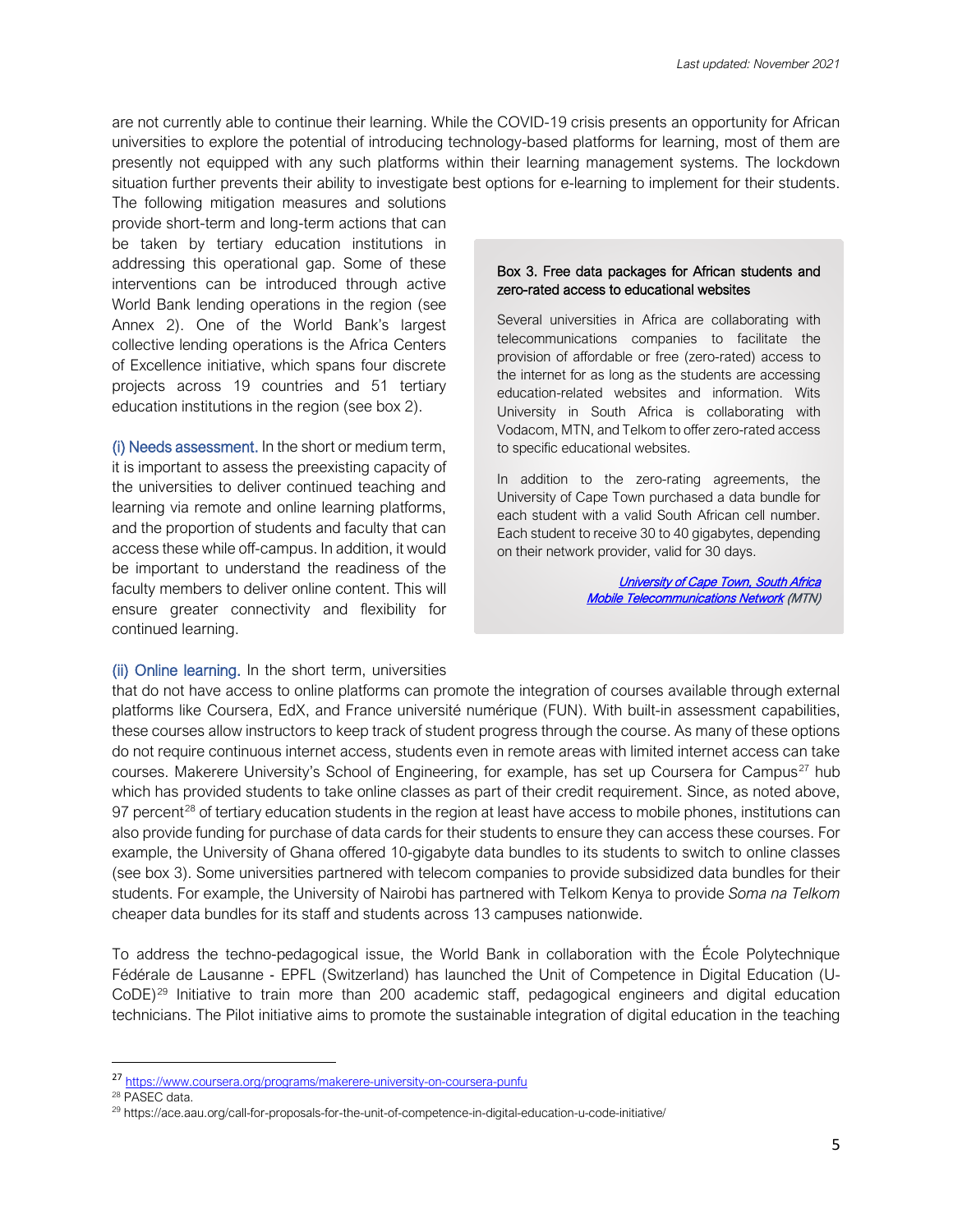are not currently able to continue their learning. While the COVID-19 crisis presents an opportunity for African universities to explore the potential of introducing technology-based platforms for learning, most of them are presently not equipped with any such platforms within their learning management systems. The lockdown situation further prevents their ability to investigate best options for e-learning to implement for their students.

The following mitigation measures and solutions provide short-term and long-term actions that can be taken by tertiary education institutions in addressing this operational gap. Some of these interventions can be introduced through active World Bank lending operations in the region (see Annex 2). One of the World Bank's largest collective lending operations is the Africa Centers of Excellence initiative, which spans four discrete projects across 19 countries and 51 tertiary education institutions in the region (see box 2).

(i) Needs assessment. In the short or medium term, it is important to assess the preexisting capacity of the universities to deliver continued teaching and learning via remote and online learning platforms, and the proportion of students and faculty that can access these while off-campus. In addition, it would be important to understand the readiness of the faculty members to deliver online content. This will ensure greater connectivity and flexibility for continued learning.

## (ii) Online learning. In the short term, universities

#### Box 3. Free data packages for African students and zero-rated access to educational websites

Several universities in Africa are collaborating with telecommunications companies to facilitate the provision of affordable or free (zero-rated) access to the internet for as long as the students are accessing education-related websites and information. Wits University in South Africa is collaborating with Vodacom, MTN, and Telkom to offer zero-rated access to specific educational websites.

In addition to the zero-rating agreements, the University of Cape Town purchased a data bundle for each student with a valid South African cell number. Each student to receive 30 to 40 gigabytes, depending on their network provider, valid for 30 days.

> **University of Cape Town, South Africa** [Mobile Telecommunications Network](https://mtn.com.gh/personal/covid-19/) (MTN)

that do not have access to online platforms can promote the integration of courses available through external platforms like Coursera, EdX, and France université numérique (FUN). With built-in assessment capabilities, these courses allow instructors to keep track of student progress through the course. As many of these options do not require continuous internet access, students even in remote areas with limited internet access can take courses. Makerere University's School of Engineering, for example, has set up Coursera for Campus<sup>[27](#page-4-0)</sup> hub which has provided students to take online classes as part of their credit requirement. Since, as noted above, 97 percent<sup>[28](#page-4-1)</sup> of tertiary education students in the region at least have access to mobile phones, institutions can also provide funding for purchase of data cards for their students to ensure they can access these courses. For example, the University of Ghana offered 10-gigabyte data bundles to its students to switch to online classes (see box 3). Some universities partnered with telecom companies to provide subsidized data bundles for their students. For example, the University of Nairobi has partnered with Telkom Kenya to provide *Soma na Telkom* cheaper data bundles for its staff and students across 13 campuses nationwide.

To address the techno-pedagogical issue, the World Bank in collaboration with the École Polytechnique Fédérale de Lausanne - EPFL (Switzerland) has launched the Unit of Competence in Digital Education (U-CoDE)[29](#page-4-2) Initiative to train more than 200 academic staff, pedagogical engineers and digital education technicians. The Pilot initiative aims to promote the sustainable integration of digital education in the teaching

<span id="page-4-0"></span><sup>27</sup> https://www.coursera.org/programs/makerere-university-on-coursera-punfu

<span id="page-4-1"></span><sup>28</sup> PASEC data.

<span id="page-4-2"></span><sup>29</sup> https://ace.aau.org/call-for-proposals-for-the-unit-of-competence-in-digital-education-u-code-initiative/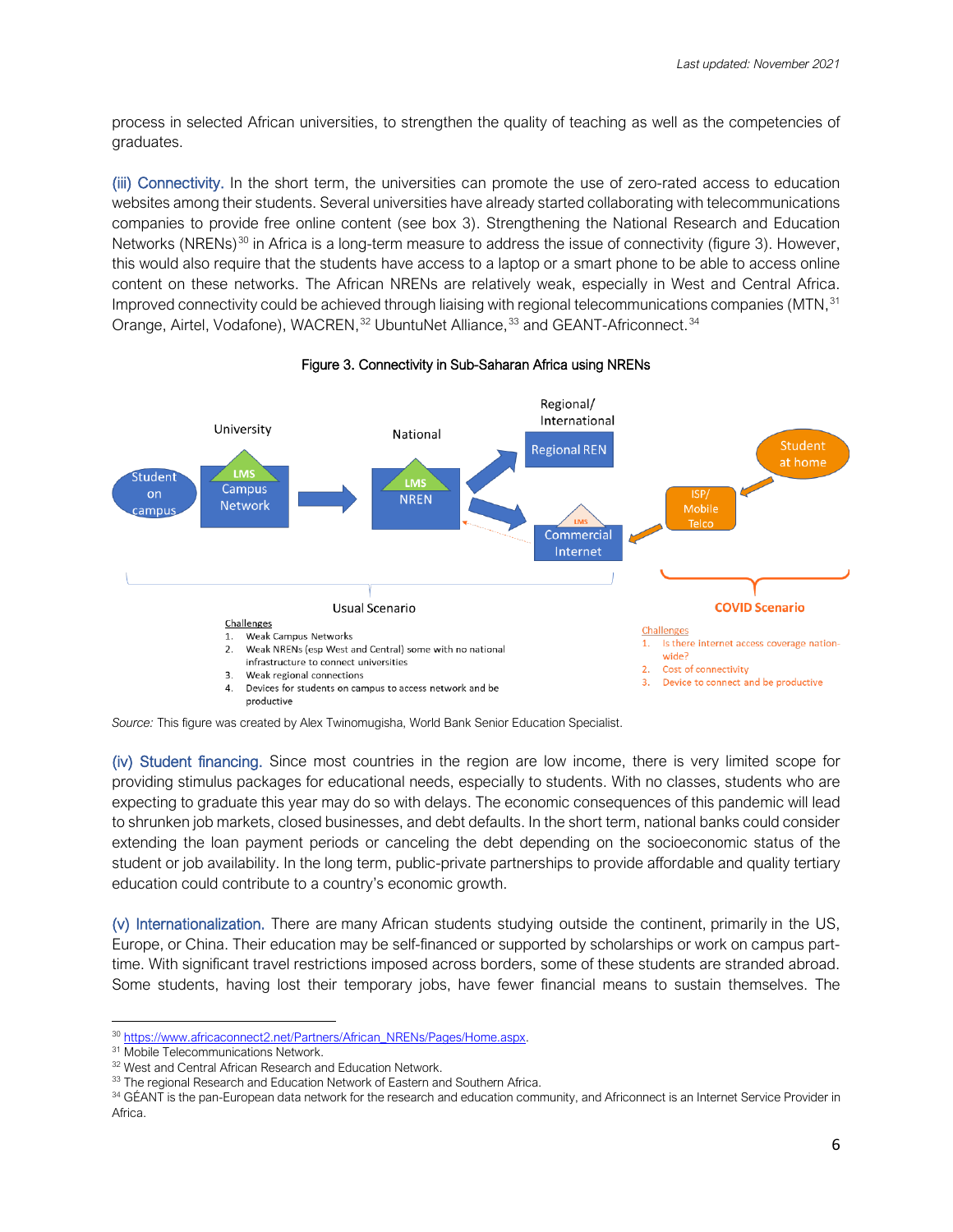process in selected African universities, to strengthen the quality of teaching as well as the competencies of graduates.

(iii) Connectivity. In the short term, the universities can promote the use of zero-rated access to education websites among their students. Several universities have already started collaborating with telecommunications companies to provide free online content (see box 3). Strengthening the National Research and Education Networks (NRENs)<sup>[30](#page-5-0)</sup> in Africa is a long-term measure to address the issue of connectivity (figure 3). However, this would also require that the students have access to a laptop or a smart phone to be able to access online content on these networks. The African NRENs are relatively weak, especially in West and Central Africa. Improved connectivity could be achieved through liaising with regional telecommunications companies (MTN,<sup>[31](#page-5-1)</sup>) Orange, Airtel, Vodafone), WACREN,<sup>[32](#page-5-2)</sup> UbuntuNet Alliance,<sup>[33](#page-5-3)</sup> and GEANT-Africonnect.<sup>[34](#page-5-4)</sup>



#### Figure 3. Connectivity in Sub-Saharan Africa using NRENs

*Source:* This figure was created by Alex Twinomugisha, World Bank Senior Education Specialist.

(iv) Student financing. Since most countries in the region are low income, there is very limited scope for providing stimulus packages for educational needs, especially to students. With no classes, students who are expecting to graduate this year may do so with delays. The economic consequences of this pandemic will lead to shrunken job markets, closed businesses, and debt defaults. In the short term, national banks could consider extending the loan payment periods or canceling the debt depending on the socioeconomic status of the student or job availability. In the long term, public-private partnerships to provide affordable and quality tertiary education could contribute to a country's economic growth.

(v) Internationalization. There are many African students studying outside the continent, primarily in the US, Europe, or China. Their education may be self-financed or supported by scholarships or work on campus parttime. With significant travel restrictions imposed across borders, some of these students are stranded abroad. Some students, having lost their temporary jobs, have fewer financial means to sustain themselves. The

<sup>30</sup> [https://www.africaconnect2.net/Partners/African\\_NRENs/Pages/Home.aspx.](https://www.africaconnect2.net/Partners/African_NRENs/Pages/Home.aspx)

<span id="page-5-2"></span><span id="page-5-1"></span><span id="page-5-0"></span><sup>&</sup>lt;sup>31</sup> Mobile Telecommunications Network.

<sup>&</sup>lt;sup>32</sup> West and Central African Research and Education Network.

<span id="page-5-3"></span><sup>33</sup> The regional Research and Education Network of Eastern and Southern Africa.

<span id="page-5-4"></span><sup>34</sup> GÉANT is the pan-European data network for the research and education community, and Africonnect is an Internet Service Provider in Africa.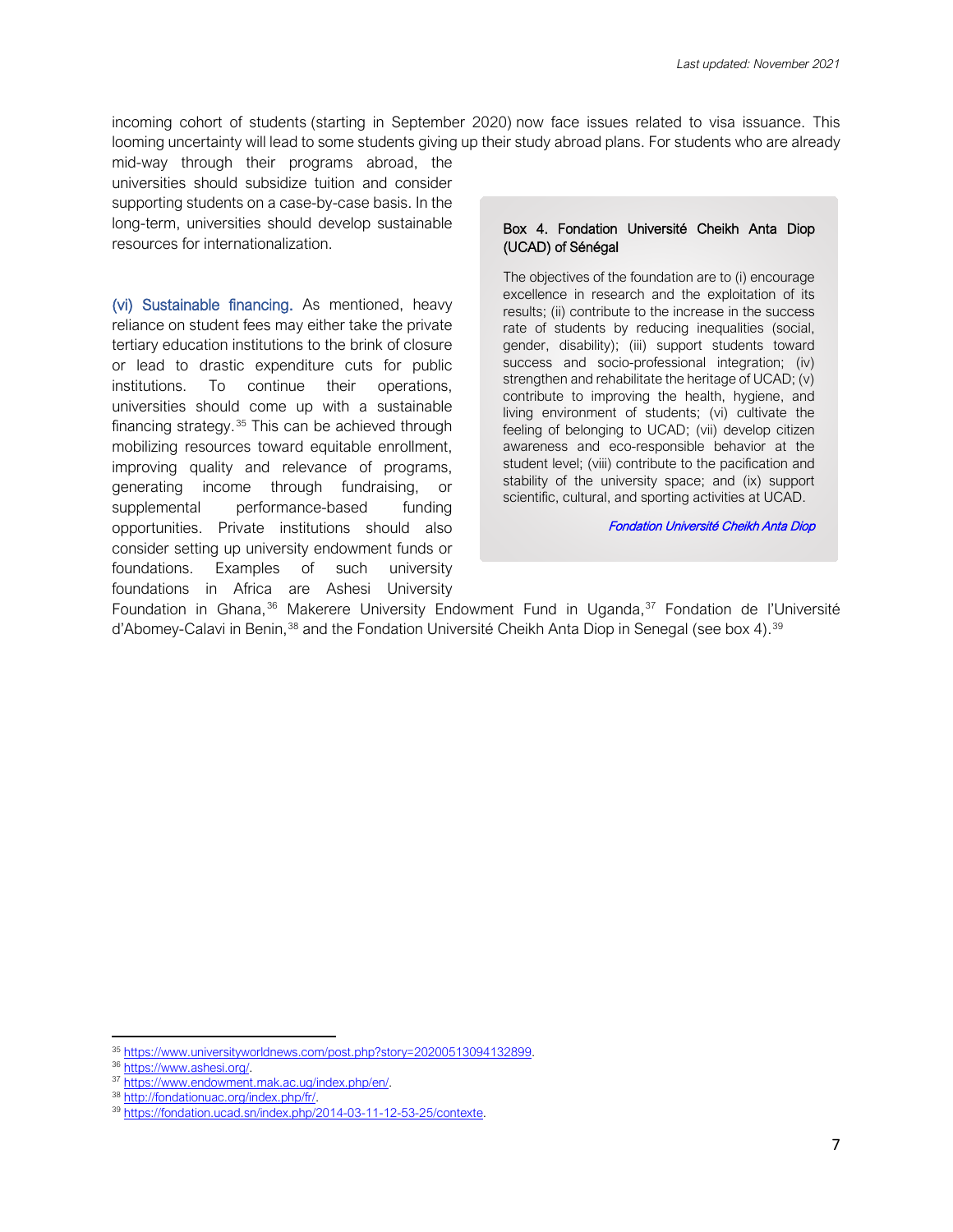incoming cohort of students (starting in September 2020) now face issues related to visa issuance. This looming uncertainty will lead to some students giving up their study abroad plans. For students who are already

mid-way through their programs abroad, the universities should subsidize tuition and consider supporting students on a case-by-case basis. In the long-term, universities should develop sustainable resources for internationalization.

(vi) Sustainable financing. As mentioned, heavy reliance on student fees may either take the private tertiary education institutions to the brink of closure or lead to drastic expenditure cuts for public institutions. To continue their operations, universities should come up with a sustainable financing strategy. [35](#page-6-0) This can be achieved through mobilizing resources toward equitable enrollment, improving quality and relevance of programs, generating income through fundraising, or supplemental performance-based funding opportunities. Private institutions should also consider setting up university endowment funds or foundations. Examples of such university foundations in Africa are Ashesi University

#### Box 4. Fondation Université Cheikh Anta Diop (UCAD) of Sénégal

The objectives of the foundation are to (i) encourage excellence in research and the exploitation of its results; (ii) contribute to the increase in the success rate of students by reducing inequalities (social, gender, disability); (iii) support students toward success and socio-professional integration; (iv) strengthen and rehabilitate the heritage of UCAD; (v) contribute to improving the health, hygiene, and living environment of students; (vi) cultivate the feeling of belonging to UCAD; (vii) develop citizen awareness and eco-responsible behavior at the student level; (viii) contribute to the pacification and stability of the university space; and (ix) support scientific, cultural, and sporting activities at UCAD.

#### [Fondation Université Cheikh Anta Diop](https://fondation.ucad.sn/index.php/2014-03-11-12-53-25/contexte)

Foundation in Ghana,<sup>[36](#page-6-1)</sup> Makerere University Endowment Fund in Uganda,<sup>[37](#page-6-2)</sup> Fondation de l'Université d'Abomey-Calavi in Benin,<sup>[38](#page-6-3)</sup> and the Fondation Université Cheikh Anta Diop in Senegal (see box 4).<sup>[39](#page-6-4)</sup>

<span id="page-6-0"></span><sup>35</sup> [https://www.universityworldnews.com/post.php?story=20200513094132899.](https://www.universityworldnews.com/post.php?story=20200513094132899)

<span id="page-6-1"></span><sup>&</sup>lt;sup>36</sup> [https://www.ashesi.org/.](https://www.ashesi.org/)<br><sup>37</sup> [https://www.endowment.mak.ac.ug/index.php/en/.](https://www.endowment.mak.ac.ug/index.php/en/)

<span id="page-6-3"></span><span id="page-6-2"></span><sup>38</sup> [http://fondationuac.org/index.php/fr/.](http://fondationuac.org/index.php/fr/)

<span id="page-6-4"></span><sup>39</sup> [https://fondation.ucad.sn/index.php/2014-03-11-12-53-25/contexte.](https://fondation.ucad.sn/index.php/2014-03-11-12-53-25/contexte)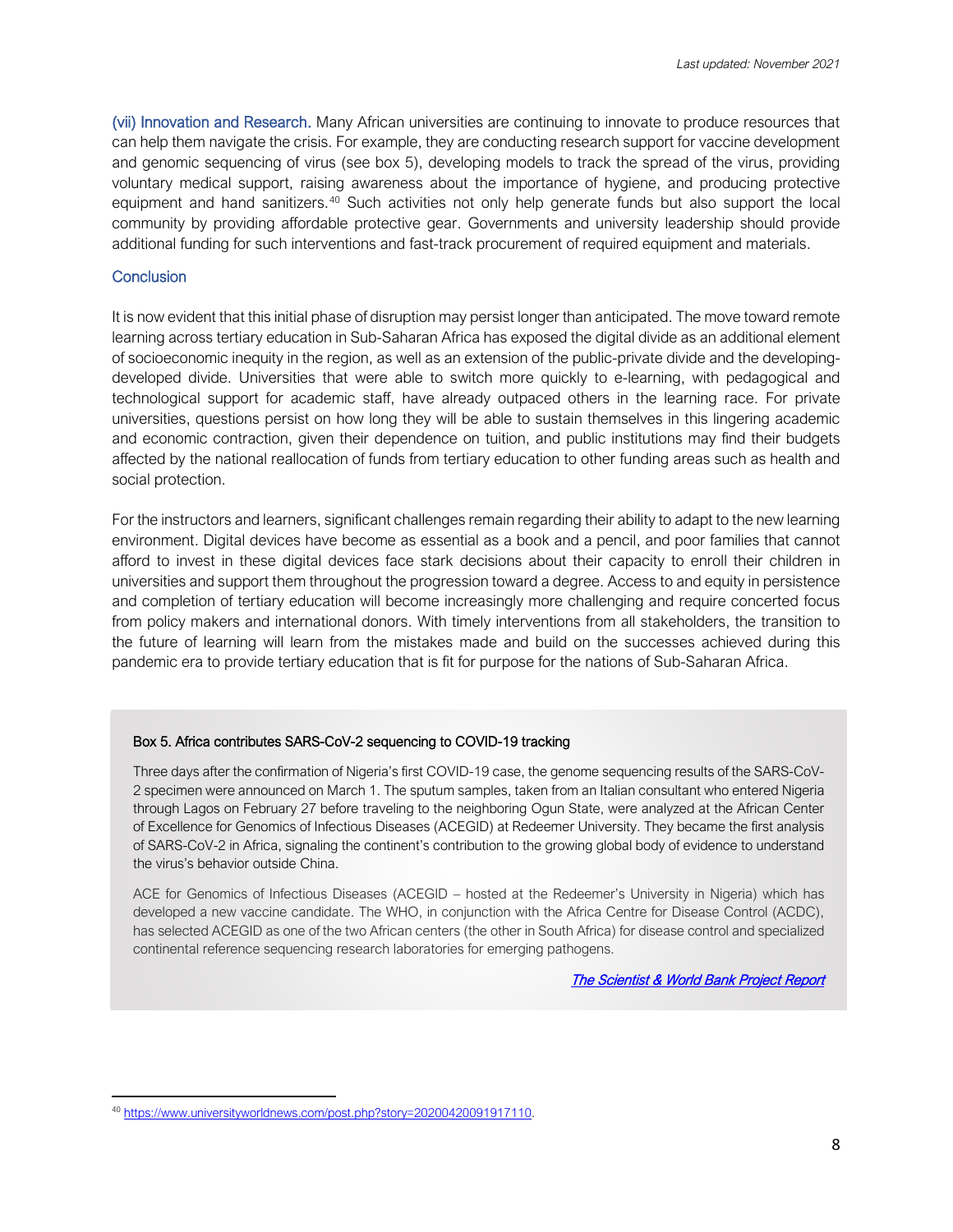(vii) Innovation and Research. Many African universities are continuing to innovate to produce resources that can help them navigate the crisis. For example, they are conducting research support for vaccine development and genomic sequencing of virus (see box 5), developing models to track the spread of the virus, providing voluntary medical support, raising awareness about the importance of hygiene, and producing protective equipment and hand sanitizers. [40](#page-7-0) Such activities not only help generate funds but also support the local community by providing affordable protective gear. Governments and university leadership should provide additional funding for such interventions and fast-track procurement of required equipment and materials.

#### **Conclusion**

It is now evident that this initial phase of disruption may persist longer than anticipated. The move toward remote learning across tertiary education in Sub-Saharan Africa has exposed the digital divide as an additional element of socioeconomic inequity in the region, as well as an extension of the public-private divide and the developingdeveloped divide. Universities that were able to switch more quickly to e-learning, with pedagogical and technological support for academic staff, have already outpaced others in the learning race. For private universities, questions persist on how long they will be able to sustain themselves in this lingering academic and economic contraction, given their dependence on tuition, and public institutions may find their budgets affected by the national reallocation of funds from tertiary education to other funding areas such as health and social protection.

For the instructors and learners, significant challenges remain regarding their ability to adapt to the new learning environment. Digital devices have become as essential as a book and a pencil, and poor families that cannot afford to invest in these digital devices face stark decisions about their capacity to enroll their children in universities and support them throughout the progression toward a degree. Access to and equity in persistence and completion of tertiary education will become increasingly more challenging and require concerted focus from policy makers and international donors. With timely interventions from all stakeholders, the transition to the future of learning will learn from the mistakes made and build on the successes achieved during this pandemic era to provide tertiary education that is fit for purpose for the nations of Sub-Saharan Africa.

#### Box 5. Africa contributes SARS-CoV-2 sequencing to COVID-19 tracking

Three days after the confirmation of Nigeria's first COVID-19 case, the genome sequencing results of the SARS-CoV-2 specimen were announced on March 1. The sputum samples, taken from an Italian consultant who entered Nigeria through Lagos on February 27 before traveling to the neighboring Ogun State, were analyzed at the African Center of Excellence for Genomics of Infectious Diseases (ACEGID) at Redeemer University. They became the first analysis of SARS-CoV-2 in Africa, signaling the continent's contribution to the growing global body of evidence to understand the virus's behavior outside China.

ACE for Genomics of Infectious Diseases (ACEGID – hosted at the Redeemer's University in Nigeria) which has developed a new vaccine candidate. The WHO, in conjunction with the Africa Centre for Disease Control (ACDC), has selected ACEGID as one of the two African centers (the other in South Africa) for disease control and specialized continental reference sequencing research laboratories for emerging pathogens.

[The Scientist](https://www.the-scientist.com/news-opinion/africa-contributes-sars-cov-2-sequencing-to-covid-19-tracking-67348) & World Bank Project Report

<span id="page-7-0"></span><sup>40</sup> [https://www.universityworldnews.com/post.php?story=20200420091917110.](https://www.universityworldnews.com/post.php?story=20200420091917110)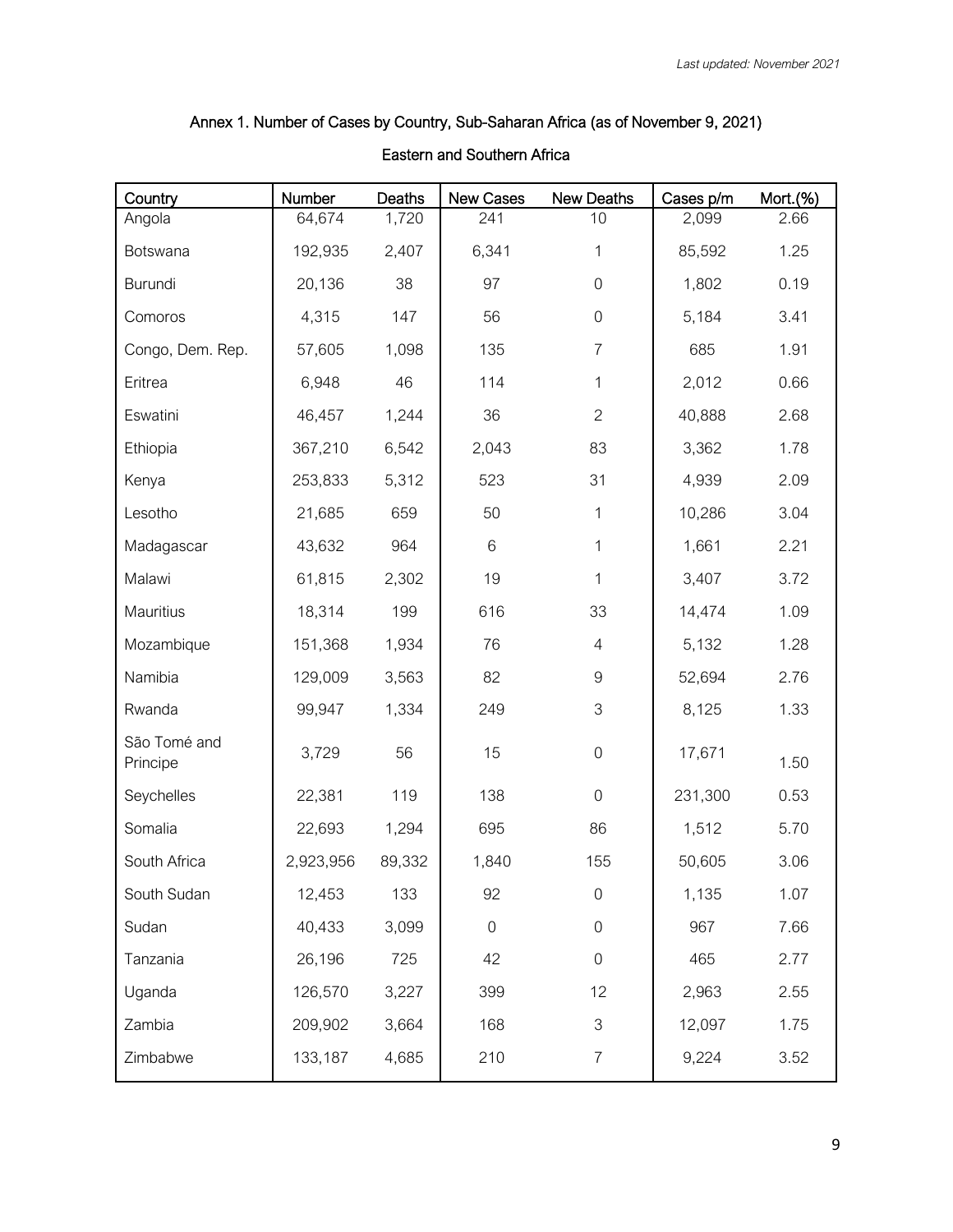## Annex 1. Number of Cases by Country, Sub-Saharan Africa (as of November 9, 2021)

## Eastern and Southern Africa

| Country                  | Number    | Deaths | New Cases        | New Deaths       | Cases p/m | Mort.(%) |
|--------------------------|-----------|--------|------------------|------------------|-----------|----------|
| Angola                   | 64,674    | 1,720  | 241              | 10               | 2,099     | 2.66     |
| Botswana                 | 192,935   | 2,407  | 6,341            | 1                | 85,592    | 1.25     |
| <b>Burundi</b>           | 20,136    | 38     | 97               | $\boldsymbol{0}$ | 1,802     | 0.19     |
| Comoros                  | 4,315     | 147    | 56               | $\boldsymbol{0}$ | 5,184     | 3.41     |
| Congo, Dem. Rep.         | 57,605    | 1,098  | 135              | $\overline{7}$   | 685       | 1.91     |
| Eritrea                  | 6,948     | 46     | 114              | 1                | 2,012     | 0.66     |
| Eswatini                 | 46,457    | 1,244  | 36               | $\overline{2}$   | 40,888    | 2.68     |
| Ethiopia                 | 367,210   | 6,542  | 2,043            | 83               | 3,362     | 1.78     |
| Kenya                    | 253,833   | 5,312  | 523              | 31               | 4,939     | 2.09     |
| Lesotho                  | 21,685    | 659    | 50               | 1                | 10,286    | 3.04     |
| Madagascar               | 43,632    | 964    | 6                | 1                | 1,661     | 2.21     |
| Malawi                   | 61,815    | 2,302  | 19               | 1                | 3,407     | 3.72     |
| Mauritius                | 18,314    | 199    | 616              | 33               | 14,474    | 1.09     |
| Mozambique               | 151,368   | 1,934  | 76               | $\overline{4}$   | 5,132     | 1.28     |
| Namibia                  | 129,009   | 3,563  | 82               | $\hbox{9}$       | 52,694    | 2.76     |
| Rwanda                   | 99,947    | 1,334  | 249              | 3                | 8,125     | 1.33     |
| São Tomé and<br>Principe | 3,729     | 56     | 15               | $\boldsymbol{0}$ | 17,671    | 1.50     |
| Seychelles               | 22,381    | 119    | 138              | $\boldsymbol{0}$ | 231,300   | 0.53     |
| Somalia                  | 22,693    | 1,294  | 695              | 86               | 1,512     | 5.70     |
| South Africa             | 2,923,956 | 89,332 | 1,840            | 155              | 50,605    | 3.06     |
| South Sudan              | 12,453    | 133    | 92               | $\boldsymbol{0}$ | 1,135     | 1.07     |
| Sudan                    | 40,433    | 3,099  | $\boldsymbol{0}$ | $\boldsymbol{0}$ | 967       | 7.66     |
| Tanzania                 | 26,196    | 725    | 42               | $\boldsymbol{0}$ | 465       | 2.77     |
| Uganda                   | 126,570   | 3,227  | 399              | 12               | 2,963     | 2.55     |
| Zambia                   | 209,902   | 3,664  | 168              | 3                | 12,097    | 1.75     |
| Zimbabwe                 | 133,187   | 4,685  | 210              | $\overline{I}$   | 9,224     | 3.52     |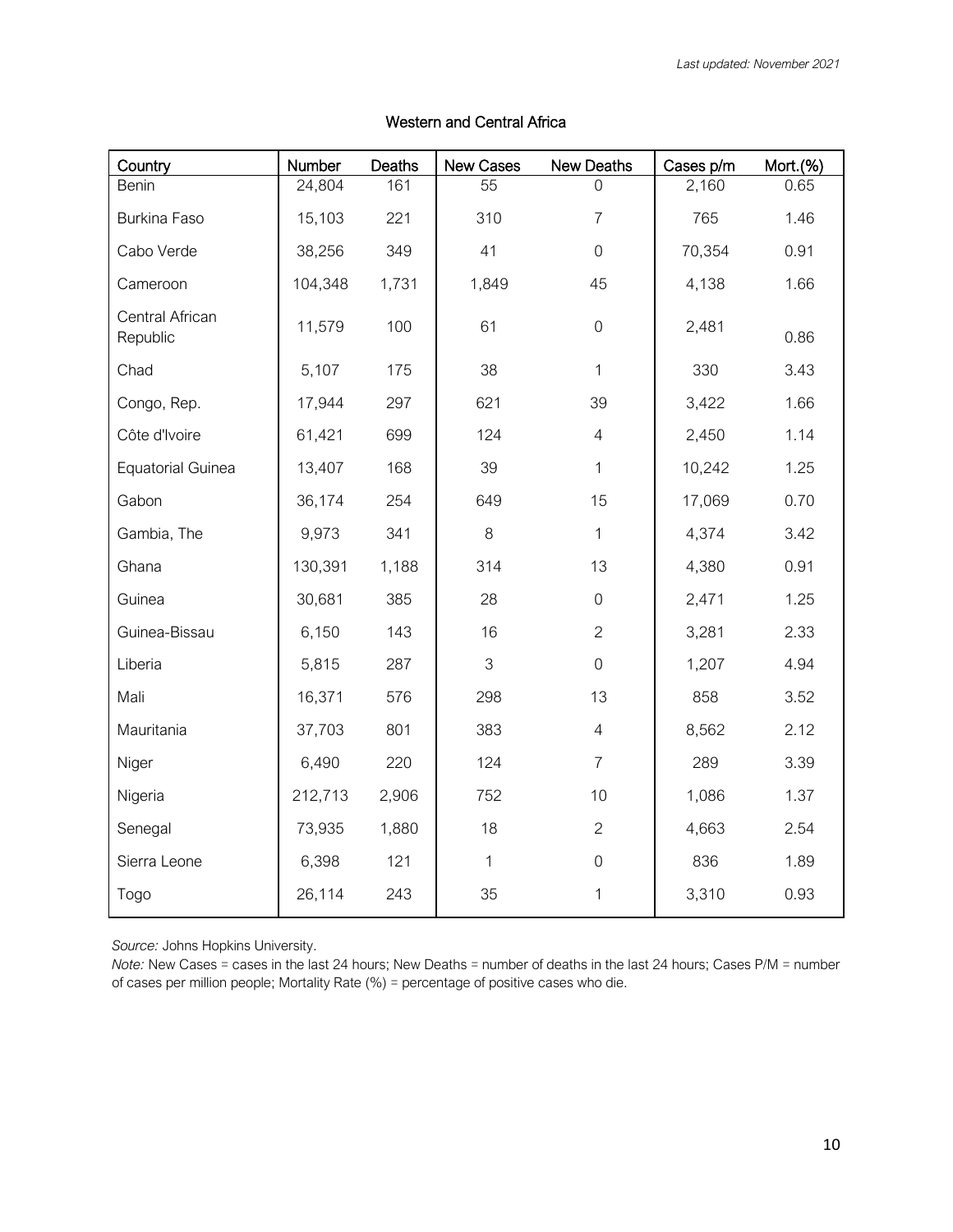| Country                     | Number  | Deaths | New Cases    | New Deaths       | Cases p/m | Mort.(%) |
|-----------------------------|---------|--------|--------------|------------------|-----------|----------|
| Benin                       | 24,804  | 161    | 55           | U                | 2,160     | 0.65     |
| Burkina Faso                | 15,103  | 221    | 310          | $\overline{7}$   | 765       | 1.46     |
| Cabo Verde                  | 38,256  | 349    | 41           | $\overline{0}$   | 70,354    | 0.91     |
| Cameroon                    | 104,348 | 1,731  | 1,849        | 45               | 4,138     | 1.66     |
| Central African<br>Republic | 11,579  | 100    | 61           | $\overline{0}$   | 2,481     | 0.86     |
| Chad                        | 5,107   | 175    | 38           | 1                | 330       | 3.43     |
| Congo, Rep.                 | 17,944  | 297    | 621          | 39               | 3,422     | 1.66     |
| Côte d'Ivoire               | 61,421  | 699    | 124          | $\overline{4}$   | 2,450     | 1.14     |
| <b>Equatorial Guinea</b>    | 13,407  | 168    | 39           | 1                | 10,242    | 1.25     |
| Gabon                       | 36,174  | 254    | 649          | 15               | 17,069    | 0.70     |
| Gambia, The                 | 9,973   | 341    | 8            | 1                | 4,374     | 3.42     |
| Ghana                       | 130,391 | 1,188  | 314          | 13               | 4,380     | 0.91     |
| Guinea                      | 30,681  | 385    | 28           | $\overline{0}$   | 2,471     | 1.25     |
| Guinea-Bissau               | 6,150   | 143    | 16           | $\overline{2}$   | 3,281     | 2.33     |
| Liberia                     | 5,815   | 287    | 3            | $\overline{0}$   | 1,207     | 4.94     |
| Mali                        | 16,371  | 576    | 298          | 13               | 858       | 3.52     |
| Mauritania                  | 37,703  | 801    | 383          | $\overline{4}$   | 8,562     | 2.12     |
| Niger                       | 6,490   | 220    | 124          | $\overline{7}$   | 289       | 3.39     |
| Nigeria                     | 212,713 | 2,906  | 752          | 10               | 1,086     | 1.37     |
| Senegal                     | 73,935  | 1,880  | 18           | $\overline{2}$   | 4,663     | 2.54     |
| Sierra Leone                | 6,398   | 121    | $\mathbf{1}$ | $\boldsymbol{0}$ | 836       | 1.89     |
| Togo                        | 26,114  | 243    | 35           | 1                | 3,310     | 0.93     |

## Western and Central Africa

*Source:* Johns Hopkins University.

*Note:* New Cases = cases in the last 24 hours; New Deaths = number of deaths in the last 24 hours; Cases P/M = number of cases per million people; Mortality Rate (%) = percentage of positive cases who die.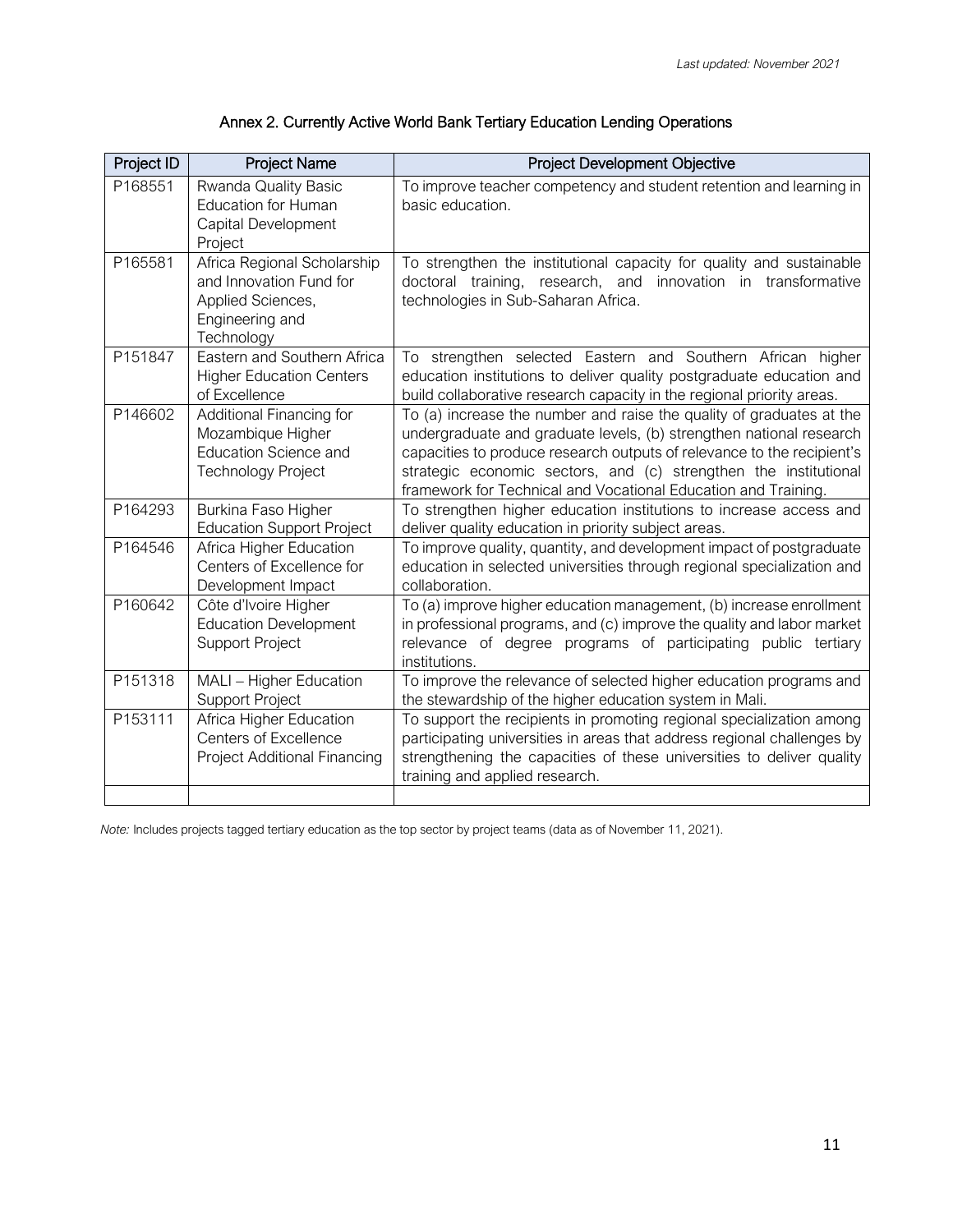| Annex 2. Currently Active World Bank Tertiary Education Lending Operations |  |  |
|----------------------------------------------------------------------------|--|--|
|----------------------------------------------------------------------------|--|--|

| Project ID | <b>Project Name</b>                                                                                          | <b>Project Development Objective</b>                                                                                                                                                                                                                                                                                                                        |
|------------|--------------------------------------------------------------------------------------------------------------|-------------------------------------------------------------------------------------------------------------------------------------------------------------------------------------------------------------------------------------------------------------------------------------------------------------------------------------------------------------|
| P168551    | Rwanda Quality Basic<br><b>Education for Human</b><br>Capital Development<br>Project                         | To improve teacher competency and student retention and learning in<br>basic education.                                                                                                                                                                                                                                                                     |
| P165581    | Africa Regional Scholarship<br>and Innovation Fund for<br>Applied Sciences,<br>Engineering and<br>Technology | To strengthen the institutional capacity for quality and sustainable<br>doctoral training, research, and innovation in transformative<br>technologies in Sub-Saharan Africa.                                                                                                                                                                                |
| P151847    | Eastern and Southern Africa<br><b>Higher Education Centers</b><br>of Excellence                              | To strengthen selected Eastern and Southern African higher<br>education institutions to deliver quality postgraduate education and<br>build collaborative research capacity in the regional priority areas.                                                                                                                                                 |
| P146602    | Additional Financing for<br>Mozambique Higher<br><b>Education Science and</b><br><b>Technology Project</b>   | To (a) increase the number and raise the quality of graduates at the<br>undergraduate and graduate levels, (b) strengthen national research<br>capacities to produce research outputs of relevance to the recipient's<br>strategic economic sectors, and (c) strengthen the institutional<br>framework for Technical and Vocational Education and Training. |
| P164293    | Burkina Faso Higher<br><b>Education Support Project</b>                                                      | To strengthen higher education institutions to increase access and<br>deliver quality education in priority subject areas.                                                                                                                                                                                                                                  |
| P164546    | Africa Higher Education<br>Centers of Excellence for<br>Development Impact                                   | To improve quality, quantity, and development impact of postgraduate<br>education in selected universities through regional specialization and<br>collaboration.                                                                                                                                                                                            |
| P160642    | Côte d'Ivoire Higher<br><b>Education Development</b><br><b>Support Project</b>                               | To (a) improve higher education management, (b) increase enrollment<br>in professional programs, and (c) improve the quality and labor market<br>relevance of degree programs of participating public tertiary<br>institutions.                                                                                                                             |
| P151318    | MALI - Higher Education<br><b>Support Project</b>                                                            | To improve the relevance of selected higher education programs and<br>the stewardship of the higher education system in Mali.                                                                                                                                                                                                                               |
| P153111    | Africa Higher Education<br><b>Centers of Excellence</b><br><b>Project Additional Financing</b>               | To support the recipients in promoting regional specialization among<br>participating universities in areas that address regional challenges by<br>strengthening the capacities of these universities to deliver quality<br>training and applied research.                                                                                                  |

*Note:* Includes projects tagged tertiary education as the top sector by project teams (data as of November 11, 2021).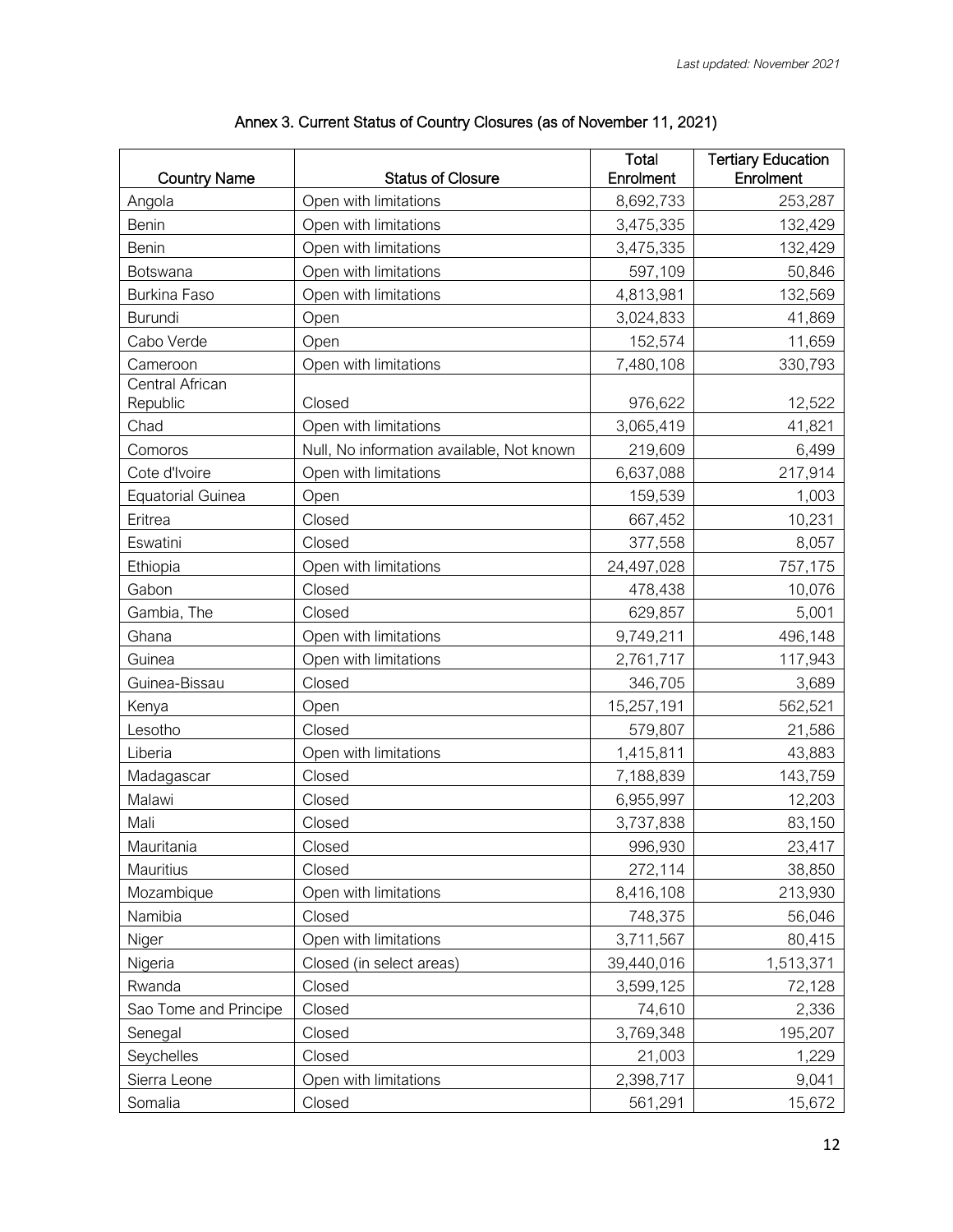| <b>Country Name</b>         | <b>Status of Closure</b>                  | Total<br>Enrolment | <b>Tertiary Education</b><br>Enrolment |
|-----------------------------|-------------------------------------------|--------------------|----------------------------------------|
| Angola                      | Open with limitations                     | 8,692,733          | 253,287                                |
| Benin                       | Open with limitations                     | 3,475,335          | 132,429                                |
| Benin                       | Open with limitations                     | 3,475,335          | 132,429                                |
| Botswana                    | Open with limitations                     | 597,109            | 50,846                                 |
| Burkina Faso                | Open with limitations                     | 4,813,981          | 132,569                                |
| Burundi                     | Open                                      | 3,024,833          | 41,869                                 |
| Cabo Verde                  | Open                                      | 152,574            | 11,659                                 |
| Cameroon                    | Open with limitations                     | 7,480,108          | 330,793                                |
| Central African<br>Republic | Closed                                    | 976,622            | 12,522                                 |
| Chad                        | Open with limitations                     | 3,065,419          | 41,821                                 |
| Comoros                     | Null, No information available, Not known | 219,609            | 6,499                                  |
| Cote d'Ivoire               | Open with limitations                     | 6,637,088          | 217,914                                |
| <b>Equatorial Guinea</b>    | Open                                      | 159,539            | 1,003                                  |
| Eritrea                     | Closed                                    | 667,452            | 10,231                                 |
| Eswatini                    | Closed                                    | 377,558            | 8,057                                  |
| Ethiopia                    | Open with limitations                     | 24,497,028         | 757,175                                |
| Gabon                       | Closed                                    | 478,438            | 10,076                                 |
| Gambia, The                 | Closed                                    | 629,857            | 5,001                                  |
| Ghana                       | Open with limitations                     | 9,749,211          | 496,148                                |
| Guinea                      | Open with limitations                     | 2,761,717          | 117,943                                |
| Guinea-Bissau               | Closed                                    | 346,705            | 3,689                                  |
| Kenya                       | Open                                      | 15,257,191         | 562,521                                |
| Lesotho                     | Closed                                    | 579,807            | 21,586                                 |
| Liberia                     | Open with limitations                     | 1,415,811          | 43,883                                 |
| Madagascar                  | Closed                                    | 7,188,839          | 143,759                                |
| Malawi                      | Closed                                    | 6,955,997          | 12,203                                 |
| Mali                        | Closed                                    | 3,737,838          | 83,150                                 |
| Mauritania                  | Closed                                    | 996,930            | 23,417                                 |
| Mauritius                   | Closed                                    | 272,114            | 38,850                                 |
| Mozambique                  | Open with limitations                     | 8,416,108          | 213,930                                |
| Namibia                     | Closed                                    | 748,375            | 56,046                                 |
| Niger                       | Open with limitations                     | 3,711,567          | 80,415                                 |
| Nigeria                     | Closed (in select areas)                  | 39,440,016         | 1,513,371                              |
| Rwanda                      | Closed                                    | 3,599,125          | 72,128                                 |
| Sao Tome and Principe       | Closed                                    | 74,610             | 2,336                                  |
| Senegal                     | Closed                                    | 3,769,348          | 195,207                                |
| Seychelles                  | Closed                                    | 21,003             | 1,229                                  |
| Sierra Leone                | Open with limitations                     | 2,398,717          | 9,041                                  |
| Somalia                     | Closed                                    | 561,291            | 15,672                                 |

| Annex 3. Current Status of Country Closures (as of November 11, 2021) |  |  |  |
|-----------------------------------------------------------------------|--|--|--|
|-----------------------------------------------------------------------|--|--|--|